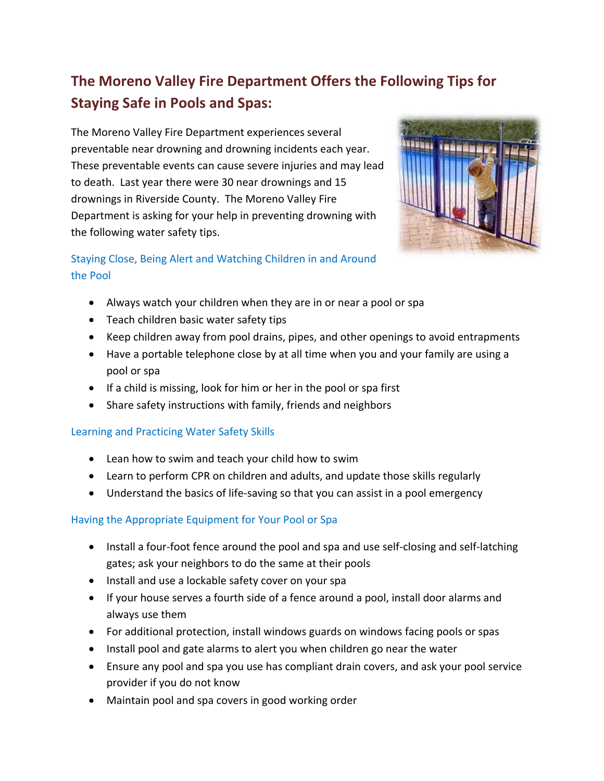# **The Moreno Valley Fire Department Offers the Following Tips for Staying Safe in Pools and Spas:**

The Moreno Valley Fire Department experiences several preventable near drowning and drowning incidents each year. These preventable events can cause severe injuries and may lead to death. Last year there were 30 near drownings and 15 drownings in Riverside County. The Moreno Valley Fire Department is asking for your help in preventing drowning with the following water safety tips.



## Staying Close, Being Alert and Watching Children in and Around the Pool

- Always watch your children when they are in or near a pool or spa
- **•** Teach children basic water safety tips
- Keep children away from pool drains, pipes, and other openings to avoid entrapments
- Have a portable telephone close by at all time when you and your family are using a pool or spa
- If a child is missing, look for him or her in the pool or spa first
- Share safety instructions with family, friends and neighbors

#### Learning and Practicing Water Safety Skills

- Lean how to swim and teach your child how to swim
- Learn to perform CPR on children and adults, and update those skills regularly
- Understand the basics of life-saving so that you can assist in a pool emergency

### Having the Appropriate Equipment for Your Pool or Spa

- Install a four-foot fence around the pool and spa and use self-closing and self-latching gates; ask your neighbors to do the same at their pools
- Install and use a lockable safety cover on your spa
- If your house serves a fourth side of a fence around a pool, install door alarms and always use them
- For additional protection, install windows guards on windows facing pools or spas
- Install pool and gate alarms to alert you when children go near the water
- Ensure any pool and spa you use has compliant drain covers, and ask your pool service provider if you do not know
- Maintain pool and spa covers in good working order